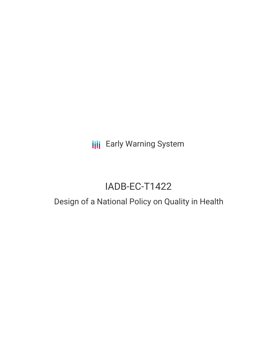**III** Early Warning System

# IADB-EC-T1422

## Design of a National Policy on Quality in Health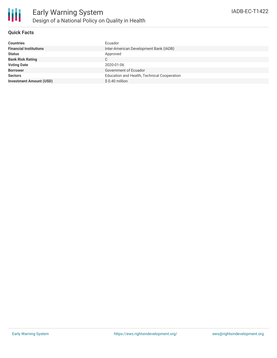

#### **Quick Facts**

| Countries                      | Ecuador                                     |
|--------------------------------|---------------------------------------------|
| <b>Financial Institutions</b>  | Inter-American Development Bank (IADB)      |
| Status                         | Approved                                    |
| <b>Bank Risk Rating</b>        | C                                           |
| <b>Voting Date</b>             | 2020-01-06                                  |
| <b>Borrower</b>                | Government of Ecuador                       |
| <b>Sectors</b>                 | Education and Health, Technical Cooperation |
| <b>Investment Amount (USD)</b> | $$0.40$ million                             |
|                                |                                             |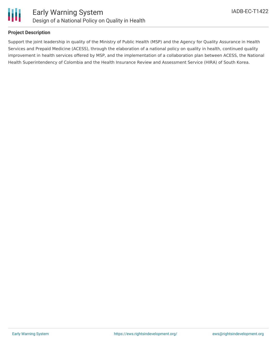



#### **Project Description**

Support the joint leadership in quality of the Ministry of Public Health (MSP) and the Agency for Quality Assurance in Health Services and Prepaid Medicine (ACESS), through the elaboration of a national policy on quality in health, continued quality improvement in health services offered by MSP, and the implementation of a collaboration plan between ACESS, the National Health Superintendency of Colombia and the Health Insurance Review and Assessment Service (HIRA) of South Korea.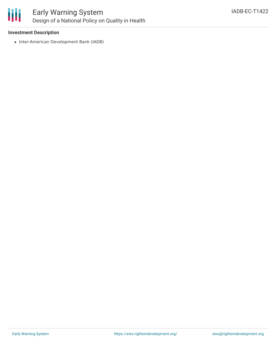

## Early Warning System Design of a National Policy on Quality in Health

#### **Investment Description**

• Inter-American Development Bank (IADB)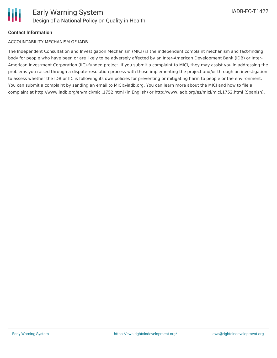#### **Contact Information**

#### ACCOUNTABILITY MECHANISM OF IADB

The Independent Consultation and Investigation Mechanism (MICI) is the independent complaint mechanism and fact-finding body for people who have been or are likely to be adversely affected by an Inter-American Development Bank (IDB) or Inter-American Investment Corporation (IIC)-funded project. If you submit a complaint to MICI, they may assist you in addressing the problems you raised through a dispute-resolution process with those implementing the project and/or through an investigation to assess whether the IDB or IIC is following its own policies for preventing or mitigating harm to people or the environment. You can submit a complaint by sending an email to MICI@iadb.org. You can learn more about the MICI and how to file a complaint at http://www.iadb.org/en/mici/mici,1752.html (in English) or http://www.iadb.org/es/mici/mici,1752.html (Spanish).